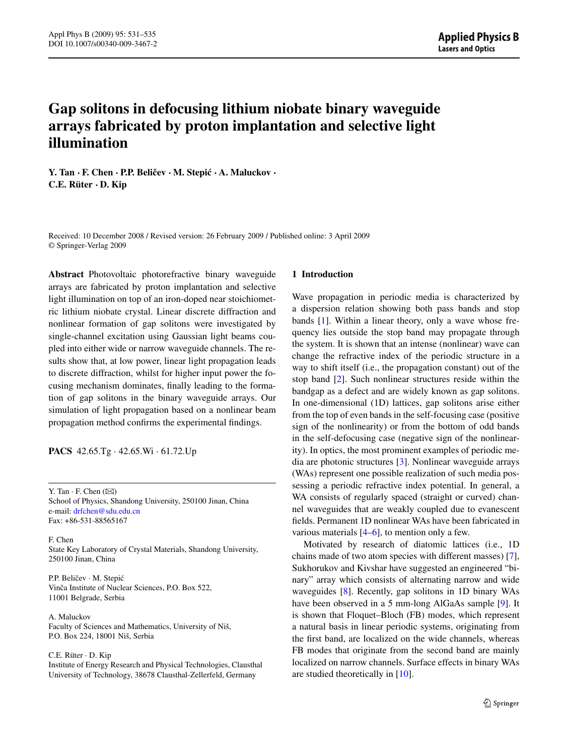# **Gap solitons in defocusing lithium niobate binary waveguide arrays fabricated by proton implantation and selective light illumination**

**Y. Tan · F. Chen · P.P. Belicev ˇ · M. Stepic´ · A. Maluckov · C.E. Rüter · D. Kip**

Received: 10 December 2008 / Revised version: 26 February 2009 / Published online: 3 April 2009 © Springer-Verlag 2009

**Abstract** Photovoltaic photorefractive binary waveguide arrays are fabricated by proton implantation and selective light illumination on top of an iron-doped near stoichiometric lithium niobate crystal. Linear discrete diffraction and nonlinear formation of gap solitons were investigated by single-channel excitation using Gaussian light beams coupled into either wide or narrow waveguide channels. The results show that, at low power, linear light propagation leads to discrete diffraction, whilst for higher input power the focusing mechanism dominates, finally leading to the formation of gap solitons in the binary waveguide arrays. Our simulation of light propagation based on a nonlinear beam propagation method confirms the experimental findings.

**PACS** 42.65.Tg · 42.65.Wi · 61.72.Up

Y. Tan  $\cdot$  F. Chen  $(\boxtimes)$ School of Physics, Shandong University, 250100 Jinan, China e-mail: [drfchen@sdu.edu.cn](mailto:drfchen@sdu.edu.cn) Fax: +86-531-88565167

F. Chen State Key Laboratory of Crystal Materials, Shandong University, 250100 Jinan, China

P.P. Beličev · M. Stepić Vinča Institute of Nuclear Sciences, P.O. Box 522, 11001 Belgrade, Serbia

A. Maluckov Faculty of Sciences and Mathematics, University of Niš, P.O. Box 224, 18001 Niš, Serbia

C.E. Rüter · D. Kip

Institute of Energy Research and Physical Technologies, Clausthal University of Technology, 38678 Clausthal-Zellerfeld, Germany

#### **1 Introduction**

Wave propagation in periodic media is characterized by a dispersion relation showing both pass bands and stop bands [\[1](#page-4-0)]. Within a linear theory, only a wave whose frequency lies outside the stop band may propagate through the system. It is shown that an intense (nonlinear) wave can change the refractive index of the periodic structure in a way to shift itself (i.e., the propagation constant) out of the stop band [[2\]](#page-4-0). Such nonlinear structures reside within the bandgap as a defect and are widely known as gap solitons. In one-dimensional (1D) lattices, gap solitons arise either from the top of even bands in the self-focusing case (positive sign of the nonlinearity) or from the bottom of odd bands in the self-defocusing case (negative sign of the nonlinearity). In optics, the most prominent examples of periodic media are photonic structures [\[3](#page-4-0)]. Nonlinear waveguide arrays (WAs) represent one possible realization of such media possessing a periodic refractive index potential. In general, a WA consists of regularly spaced (straight or curved) channel waveguides that are weakly coupled due to evanescent fields. Permanent 1D nonlinear WAs have been fabricated in various materials  $[4–6]$  $[4–6]$ , to mention only a few.

Motivated by research of diatomic lattices (i.e., 1D chains made of two atom species with different masses) [\[7](#page-4-0)], Sukhorukov and Kivshar have suggested an engineered "binary" array which consists of alternating narrow and wide waveguides [\[8](#page-4-0)]. Recently, gap solitons in 1D binary WAs have been observed in a 5 mm-long AlGaAs sample [\[9](#page-4-0)]. It is shown that Floquet–Bloch (FB) modes, which represent a natural basis in linear periodic systems, originating from the first band, are localized on the wide channels, whereas FB modes that originate from the second band are mainly localized on narrow channels. Surface effects in binary WAs are studied theoretically in [[10\]](#page-4-0).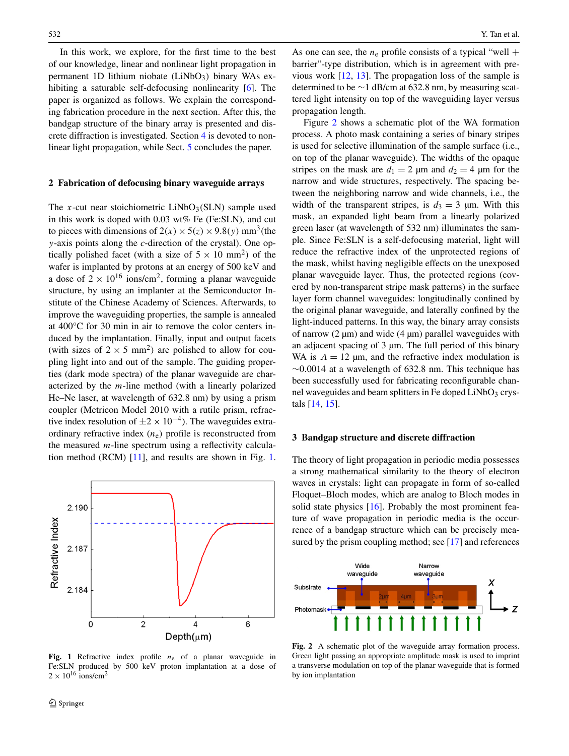In this work, we explore, for the first time to the best of our knowledge, linear and nonlinear light propagation in permanent 1D lithium niobate (LiNbO3*)* binary WAs ex-hibiting a saturable self-defocusing nonlinearity [\[6](#page-4-0)]. The paper is organized as follows. We explain the corresponding fabrication procedure in the next section. After this, the bandgap structure of the binary array is presented and discrete diffraction is investigated. Section [4](#page-2-0) is devoted to nonlinear light propagation, while Sect. [5](#page-3-0) concludes the paper.

#### **2 Fabrication of defocusing binary waveguide arrays**

The *x*-cut near stoichiometric LiNbO<sub>3</sub>(SLN) sample used in this work is doped with 0.03 wt% Fe (Fe:SLN), and cut to pieces with dimensions of  $2(x) \times 5(z) \times 9.8(y)$  mm<sup>3</sup>(the *y*-axis points along the *c*-direction of the crystal). One optically polished facet (with a size of  $5 \times 10$  mm<sup>2</sup>) of the wafer is implanted by protons at an energy of 500 keV and a dose of  $2 \times 10^{16}$  ions/cm<sup>2</sup>, forming a planar waveguide structure, by using an implanter at the Semiconductor Institute of the Chinese Academy of Sciences. Afterwards, to improve the waveguiding properties, the sample is annealed at 400°C for 30 min in air to remove the color centers induced by the implantation. Finally, input and output facets (with sizes of  $2 \times 5$  mm<sup>2</sup>) are polished to allow for coupling light into and out of the sample. The guiding properties (dark mode spectra) of the planar waveguide are characterized by the *m*-line method (with a linearly polarized He–Ne laser, at wavelength of 632.8 nm) by using a prism coupler (Metricon Model 2010 with a rutile prism, refractive index resolution of  $\pm 2 \times 10^{-4}$ ). The waveguides extraordinary refractive index  $(n_e)$  profile is reconstructed from the measured *m*-line spectrum using a reflectivity calculation method (RCM) [[11\]](#page-4-0), and results are shown in Fig. 1.



Fig. 1 Refractive index profile  $n_e$  of a planar waveguide in Fe:SLN produced by 500 keV proton implantation at a dose of  $2 \times 10^{16}$  ions/cm<sup>2</sup>

As one can see, the  $n_e$  profile consists of a typical "well + barrier"-type distribution, which is in agreement with previous work [\[12](#page-4-0), [13\]](#page-4-0). The propagation loss of the sample is determined to be ∼1 dB/cm at 632.8 nm, by measuring scattered light intensity on top of the waveguiding layer versus propagation length.

Figure 2 shows a schematic plot of the WA formation process. A photo mask containing a series of binary stripes is used for selective illumination of the sample surface (i.e., on top of the planar waveguide). The widths of the opaque stripes on the mask are  $d_1 = 2 \mu m$  and  $d_2 = 4 \mu m$  for the narrow and wide structures, respectively. The spacing between the neighboring narrow and wide channels, i.e., the width of the transparent stripes, is  $d_3 = 3$  µm. With this mask, an expanded light beam from a linearly polarized green laser (at wavelength of 532 nm) illuminates the sample. Since Fe:SLN is a self-defocusing material, light will reduce the refractive index of the unprotected regions of the mask, whilst having negligible effects on the unexposed planar waveguide layer. Thus, the protected regions (covered by non-transparent stripe mask patterns) in the surface layer form channel waveguides: longitudinally confined by the original planar waveguide, and laterally confined by the light-induced patterns. In this way, the binary array consists of narrow  $(2 \mu m)$  and wide  $(4 \mu m)$  parallel waveguides with an adjacent spacing of 3 µm. The full period of this binary WA is  $\Lambda = 12$  µm, and the refractive index modulation is ∼0*.*0014 at a wavelength of 632.8 nm. This technique has been successfully used for fabricating reconfigurable channel waveguides and beam splitters in Fe doped LiNbO<sub>3</sub> crystals [[14](#page-4-0), [15](#page-4-0)].

#### **3 Bandgap structure and discrete diffraction**

The theory of light propagation in periodic media possesses a strong mathematical similarity to the theory of electron waves in crystals: light can propagate in form of so-called Floquet–Bloch modes, which are analog to Bloch modes in solid state physics [\[16\]](#page-4-0). Probably the most prominent feature of wave propagation in periodic media is the occurrence of a bandgap structure which can be precisely mea-sured by the prism coupling method; see [\[17](#page-4-0)] and references



**Fig. 2** A schematic plot of the waveguide array formation process. Green light passing an appropriate amplitude mask is used to imprint a transverse modulation on top of the planar waveguide that is formed by ion implantation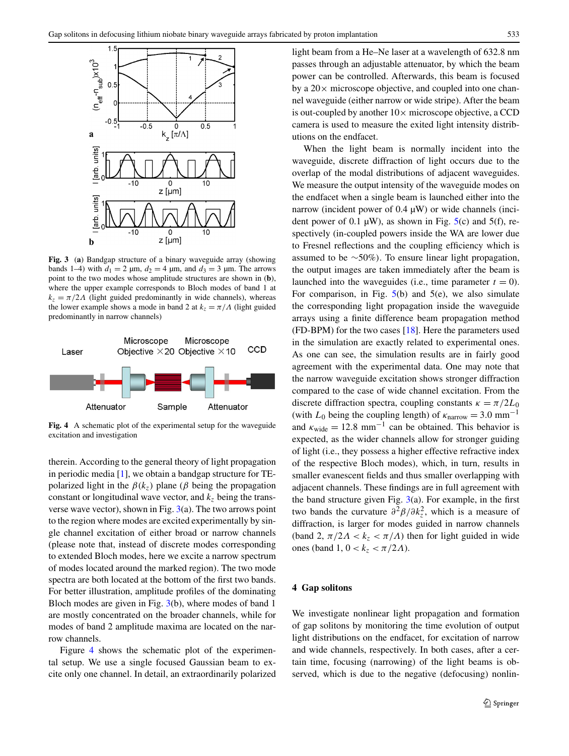<span id="page-2-0"></span>

**Fig. 3** (**a**) Bandgap structure of a binary waveguide array (showing bands 1–4) with  $d_1 = 2 \mu m$ ,  $d_2 = 4 \mu m$ , and  $d_3 = 3 \mu m$ . The arrows point to the two modes whose amplitude structures are shown in (**b**), where the upper example corresponds to Bloch modes of band 1 at  $k_z = \pi/2A$  (light guided predominantly in wide channels), whereas the lower example shows a mode in band 2 at  $k_z = \pi / \Lambda$  (light guided predominantly in narrow channels)



**Fig. 4** A schematic plot of the experimental setup for the waveguide excitation and investigation

therein. According to the general theory of light propagation in periodic media [[1\]](#page-4-0), we obtain a bandgap structure for TEpolarized light in the  $\beta(k_z)$  plane ( $\beta$  being the propagation constant or longitudinal wave vector, and  $k<sub>z</sub>$  being the transverse wave vector), shown in Fig.  $3(a)$ . The two arrows point to the region where modes are excited experimentally by single channel excitation of either broad or narrow channels (please note that, instead of discrete modes corresponding to extended Bloch modes, here we excite a narrow spectrum of modes located around the marked region). The two mode spectra are both located at the bottom of the first two bands. For better illustration, amplitude profiles of the dominating Bloch modes are given in Fig. 3(b), where modes of band 1 are mostly concentrated on the broader channels, while for modes of band 2 amplitude maxima are located on the narrow channels.

Figure 4 shows the schematic plot of the experimental setup. We use a single focused Gaussian beam to excite only one channel. In detail, an extraordinarily polarized light beam from a He–Ne laser at a wavelength of 632.8 nm passes through an adjustable attenuator, by which the beam power can be controlled. Afterwards, this beam is focused by a  $20\times$  microscope objective, and coupled into one channel waveguide (either narrow or wide stripe). After the beam is out-coupled by another  $10\times$  microscope objective, a CCD camera is used to measure the exited light intensity distributions on the endfacet.

When the light beam is normally incident into the waveguide, discrete diffraction of light occurs due to the overlap of the modal distributions of adjacent waveguides. We measure the output intensity of the waveguide modes on the endfacet when a single beam is launched either into the narrow (incident power of 0.4  $\mu$ W) or wide channels (incident power of 0.1  $\mu$ W), as shown in Fig.  $5(c)$  $5(c)$  and  $5(f)$ , respectively (in-coupled powers inside the WA are lower due to Fresnel reflections and the coupling efficiency which is assumed to be ∼50%*)*. To ensure linear light propagation, the output images are taken immediately after the beam is launched into the waveguides (i.e., time parameter  $t = 0$ ). For comparison, in Fig.  $5(b)$  $5(b)$  and  $5(e)$ , we also simulate the corresponding light propagation inside the waveguide arrays using a finite difference beam propagation method (FD-BPM) for the two cases  $[18]$  $[18]$ . Here the parameters used in the simulation are exactly related to experimental ones. As one can see, the simulation results are in fairly good agreement with the experimental data. One may note that the narrow waveguide excitation shows stronger diffraction compared to the case of wide channel excitation. From the discrete diffraction spectra, coupling constants  $\kappa = \pi/2L_0$ (with  $L_0$  being the coupling length) of  $\kappa_{\text{narrow}} = 3.0 \text{ mm}^{-1}$ and  $\kappa_{\text{wide}} = 12.8 \text{ mm}^{-1}$  can be obtained. This behavior is expected, as the wider channels allow for stronger guiding of light (i.e., they possess a higher effective refractive index of the respective Bloch modes), which, in turn, results in smaller evanescent fields and thus smaller overlapping with adjacent channels. These findings are in full agreement with the band structure given Fig.  $3(a)$ . For example, in the first two bands the curvature  $\partial^2 \beta / \partial k_z^2$ , which is a measure of diffraction, is larger for modes guided in narrow channels (band 2,  $\pi/2\Lambda < k_z < \pi/\Lambda$ ) then for light guided in wide ones (band 1,  $0 < k_z < \pi/2\Lambda$ ).

## **4 Gap solitons**

We investigate nonlinear light propagation and formation of gap solitons by monitoring the time evolution of output light distributions on the endfacet, for excitation of narrow and wide channels, respectively. In both cases, after a certain time, focusing (narrowing) of the light beams is observed, which is due to the negative (defocusing) nonlin-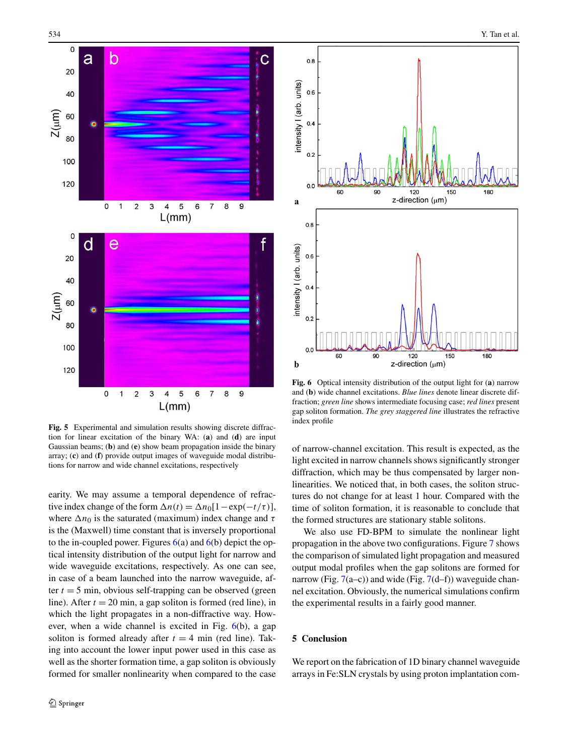<span id="page-3-0"></span>

**Fig. 5** Experimental and simulation results showing discrete diffraction for linear excitation of the binary WA: (**a**) and (**d**) are input Gaussian beams; (**b**) and (**e**) show beam propagation inside the binary array; (**c**) and (**f**) provide output images of waveguide modal distributions for narrow and wide channel excitations, respectively

earity. We may assume a temporal dependence of refractive index change of the form  $\Delta n(t) = \Delta n_0[1 - \exp(-t/\tau)],$ where  $\Delta n_0$  is the saturated (maximum) index change and  $\tau$ is the (Maxwell) time constant that is inversely proportional to the in-coupled power. Figures  $6(a)$  and  $6(b)$  depict the optical intensity distribution of the output light for narrow and wide waveguide excitations, respectively. As one can see, in case of a beam launched into the narrow waveguide, after  $t = 5$  min, obvious self-trapping can be observed (green line). After  $t = 20$  min, a gap soliton is formed (red line), in which the light propagates in a non-diffractive way. However, when a wide channel is excited in Fig. 6(b), a gap soliton is formed already after  $t = 4$  min (red line). Taking into account the lower input power used in this case as well as the shorter formation time, a gap soliton is obviously formed for smaller nonlinearity when compared to the case



**Fig. 6** Optical intensity distribution of the output light for (**a**) narrow and (**b**) wide channel excitations. *Blue lines* denote linear discrete diffraction; *green line* shows intermediate focusing case; *red lines* present gap soliton formation. *The grey staggered line* illustrates the refractive index profile

of narrow-channel excitation. This result is expected, as the light excited in narrow channels shows significantly stronger diffraction, which may be thus compensated by larger nonlinearities. We noticed that, in both cases, the soliton structures do not change for at least 1 hour. Compared with the time of soliton formation, it is reasonable to conclude that the formed structures are stationary stable solitons.

We also use FD-BPM to simulate the nonlinear light propagation in the above two configurations. Figure [7](#page-4-0) shows the comparison of simulated light propagation and measured output modal profiles when the gap solitons are formed for narrow (Fig.  $7(a-c)$  $7(a-c)$ ) and wide (Fig.  $7(d-f)$  $7(d-f)$ ) waveguide channel excitation. Obviously, the numerical simulations confirm the experimental results in a fairly good manner.

## **5 Conclusion**

We report on the fabrication of 1D binary channel waveguide arrays in Fe:SLN crystals by using proton implantation com-